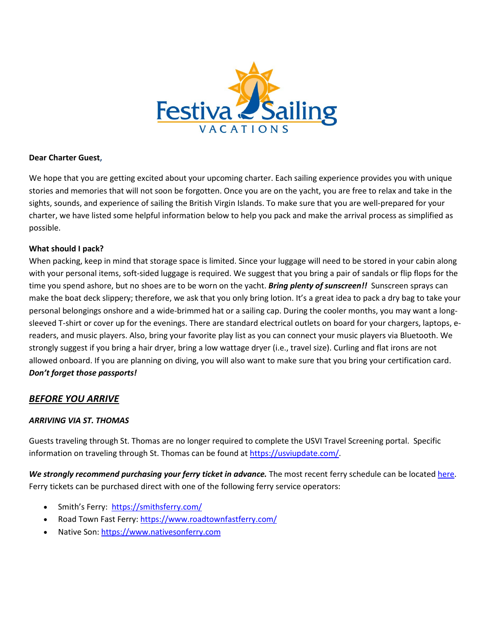

### **Dear Charter Guest,**

We hope that you are getting excited about your upcoming charter. Each sailing experience provides you with unique stories and memories that will not soon be forgotten. Once you are on the yacht, you are free to relax and take in the sights, sounds, and experience of sailing the British Virgin Islands. To make sure that you are well-prepared for your charter, we have listed some helpful information below to help you pack and make the arrival process as simplified as possible.

### **What should I pack?**

When packing, keep in mind that storage space is limited. Since your luggage will need to be stored in your cabin along with your personal items, soft-sided luggage is required. We suggest that you bring a pair of sandals or flip flops for the time you spend ashore, but no shoes are to be worn on the yacht. *Bring plenty of sunscreen!!* Sunscreen sprays can make the boat deck slippery; therefore, we ask that you only bring lotion. It's a great idea to pack a dry bag to take your personal belongings onshore and a wide-brimmed hat or a sailing cap. During the cooler months, you may want a longsleeved T-shirt or cover up for the evenings. There are standard electrical outlets on board for your chargers, laptops, ereaders, and music players. Also, bring your favorite play list as you can connect your music players via Bluetooth. We strongly suggest if you bring a hair dryer, bring a low wattage dryer (i.e., travel size). Curling and flat irons are not allowed onboard. If you are planning on diving, you will also want to make sure that you bring your certification card. *Don't forget those passports!*

# *BEFORE YOU ARRIVE*

#### *ARRIVING VIA ST. THOMAS*

Guests traveling through St. Thomas are no longer required to complete the USVI Travel Screening portal. Specific information on traveling through St. Thomas can be found at [https://usviupdate.com/.](https://usviupdate.com/)

*We strongly recommend purchasing your ferry ticket in advance.* The most recent ferry schedule can be locate[d here.](https://www.vinow.com/travel/virgin-islands-ferry-schedules/tortola/) Ferry tickets can be purchased direct with one of the following ferry service operators:

- Smith's Ferry:<https://smithsferry.com/>
- Road Town Fast Ferry:<https://www.roadtownfastferry.com/>
- Native Son[: https://www.nativesonferry.com](https://www.nativesonferry.com/)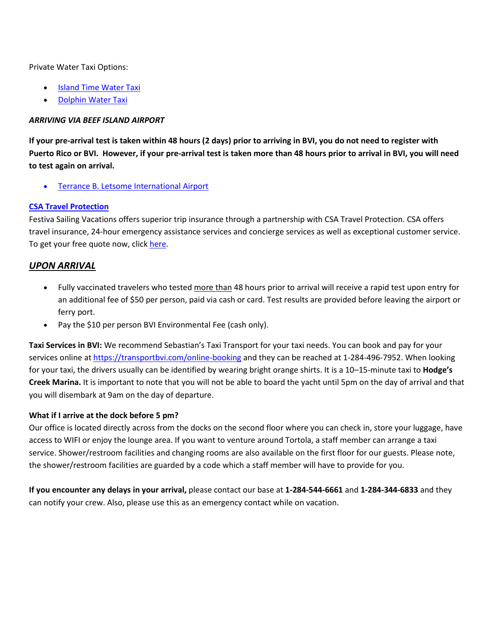Private Water Taxi Options:

- **[Island Time Water Taxi](http://islandtimewatertaxi.com/)**
- [Dolphin Water Taxi](https://www.dolphinshuttle.com/)

### *ARRIVING VIA BEEF ISLAND AIRPORT*

**If your pre-arrival test is taken within 48 hours (2 days) prior to arriving in BVI, you do not need to register with Puerto Rico or BVI. However, if your pre-arrival test is taken more than 48 hours prior to arrival in BVI, you will need to test again on arrival.** 

• [Terrance B. Letsome International Airport](https://www.bviaacloud.com/)

### **[CSA Travel Protection](https://www.festivasailingvacations.com/already-booked/travel-insurance.html)**

Festiva Sailing Vacations offers superior trip insurance through a partnership with CSA Travel Protection. CSA offers travel insurance, 24-hour emergency assistance services and concierge services as well as exceptional customer service. To get your free quote now, clic[k here.](https://www.festivasailingvacations.com/already-booked/travel-insurance.html)

# *UPON ARRIVAL*

- Fully vaccinated travelers who tested more than 48 hours prior to arrival will receive a rapid test upon entry for an additional fee of \$50 per person, paid via cash or card. Test results are provided before leaving the airport or ferry port.
- Pay the \$10 per person BVI Environmental Fee (cash only).

**Taxi Services in BVI:** We recommend Sebastian's Taxi Transport for your taxi needs. You can book and pay for your services online at <https://transportbvi.com/online-booking> and they can be reached at 1-284-496-7952. When looking for your taxi, the drivers usually can be identified by wearing bright orange shirts. It is a 10–15-minute taxi to **Hodge's Creek Marina.** It is important to note that you will not be able to board the yacht until 5pm on the day of arrival and that you will disembark at 9am on the day of departure.

#### **What if I arrive at the dock before 5 pm?**

Our office is located directly across from the docks on the second floor where you can check in, store your luggage, have access to WIFI or enjoy the lounge area. If you want to venture around Tortola, a staff member can arrange a taxi service. Shower/restroom facilities and changing rooms are also available on the first floor for our guests. Please note, the shower/restroom facilities are guarded by a code which a staff member will have to provide for you.

**If you encounter any delays in your arrival,** please contact our base at **1-284-544-6661** and **1-284-344-6833** and they can notify your crew. Also, please use this as an emergency contact while on vacation.